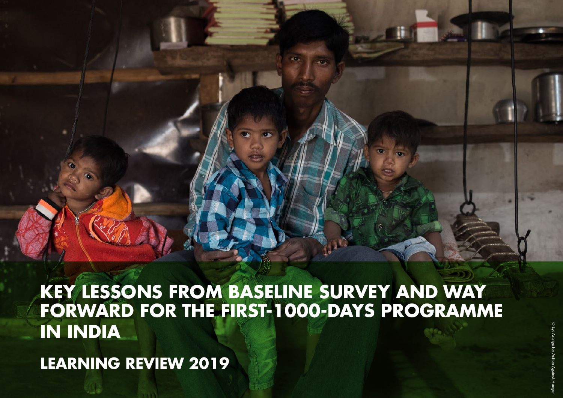

**KEY LESSONS FROM BASELINE SURVEY AND WAY FORWARD FOR THE FIRST-1000-DAYS PROGRAMME IN INDIA**

**LEARNING REVIEW 2019**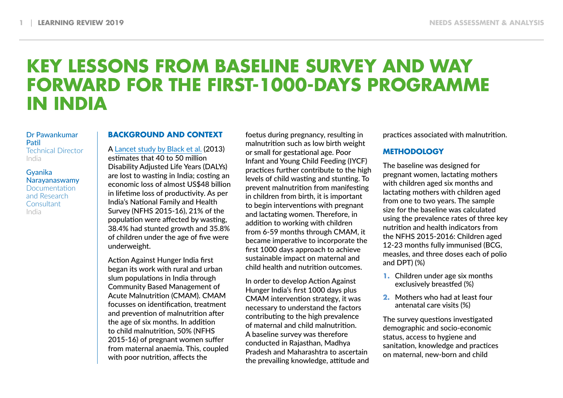# **KEY LESSONS FROM BASELINE SURVEY AND WAY FORWARD FOR THE FIRST-1000-DAYS PROGRAMME IN INDIA**

### Dr Pawankumar Patil Technical Director India

### Gyanika Narayanaswamy **Documentation** and Research **Consultant** India

## **BACKGROUND AND CONTEXT**

A [Lancet study by Black et al.](https://www.thelancet.com/journals/lancet/article/PIIS0140-6736(13)60937-X/fulltext) (2013) estimates that 40 to 50 million Disability Adjusted Life Years (DALYs) are lost to wasting in India; costing an economic loss of almost US\$48 billion in lifetime loss of productivity. As per India's National Family and Health Survey (NFHS 2015-16), 21% of the population were affected by wasting, 38.4% had stunted growth and 35.8% of children under the age of five were underweight.

Action Against Hunger India first began its work with rural and urban slum populations in India through Community Based Management of Acute Malnutrition (CMAM). CMAM focusses on identification, treatment and prevention of malnutrition after the age of six months. In addition to child malnutrition, 50% (NFHS 2015-16) of pregnant women suffer from maternal anaemia. This, coupled with poor nutrition, affects the

foetus during pregnancy, resulting in malnutrition such as low birth weight or small for gestational age. Poor Infant and Young Child Feeding (IYCF) practices further contribute to the high levels of child wasting and stunting. To prevent malnutrition from manifesting in children from birth, it is important to begin interventions with pregnant and lactating women. Therefore, in addition to working with children from 6-59 months through CMAM, it became imperative to incorporate the first 1000 days approach to achieve sustainable impact on maternal and child health and nutrition outcomes.

In order to develop Action Against Hunger India's first 1000 days plus CMAM intervention strategy, it was necessary to understand the factors contributing to the high prevalence of maternal and child malnutrition. A baseline survey was therefore conducted in Rajasthan, Madhya Pradesh and Maharashtra to ascertain the prevailing knowledge, attitude and practices associated with malnutrition.

## **METHODOLOGY**

The baseline was designed for pregnant women, lactating mothers with children aged six months and lactating mothers with children aged from one to two years. The sample size for the baseline was calculated using the prevalence rates of three key nutrition and health indicators from the NFHS 2015-2016: Children aged 12-23 months fully immunised (BCG, measles, and three doses each of polio and DPT) (%)

- **1.** Children under age six months exclusively breastfed (%)
- **2.** Mothers who had at least four antenatal care visits (%)

The survey questions investigated demographic and socio-economic status, access to hygiene and sanitation, knowledge and practices on maternal, new-born and child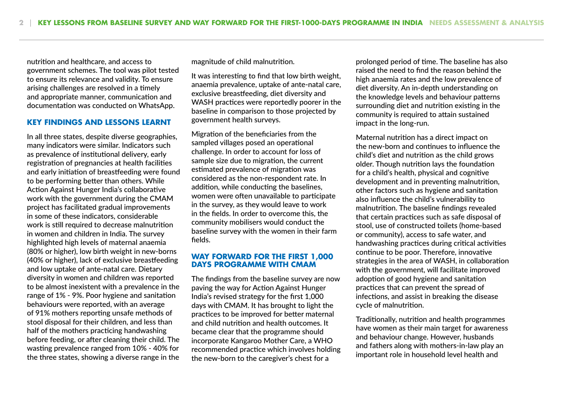nutrition and healthcare, and access to government schemes. The tool was pilot tested to ensure its relevance and validity. To ensure arising challenges are resolved in a timely and appropriate manner, communication and documentation was conducted on WhatsApp.

## **KEY FINDINGS AND LESSONS LEARNT**

In all three states, despite diverse geographies, many indicators were similar. Indicators such as prevalence of institutional delivery, early registration of pregnancies at health facilities and early initiation of breastfeeding were found to be performing better than others. While Action Against Hunger India's collaborative work with the government during the CMAM project has facilitated gradual improvements in some of these indicators, considerable work is still required to decrease malnutrition in women and children in India. The survey highlighted high levels of maternal anaemia (80% or higher), low birth weight in new-borns (40% or higher), lack of exclusive breastfeeding and low uptake of ante-natal care. Dietary diversity in women and children was reported to be almost inexistent with a prevalence in the range of 1% - 9%. Poor hygiene and sanitation behaviours were reported, with an average of 91% mothers reporting unsafe methods of stool disposal for their children, and less than half of the mothers practicing handwashing before feeding, or after cleaning their child. The wasting prevalence ranged from 10% - 40% for the three states, showing a diverse range in the magnitude of child malnutrition.

It was interesting to find that low birth weight, anaemia prevalence, uptake of ante-natal care, exclusive breastfeeding, diet diversity and WASH practices were reportedly poorer in the baseline in comparison to those projected by government health surveys.

Migration of the beneficiaries from the sampled villages posed an operational challenge. In order to account for loss of sample size due to migration, the current estimated prevalence of migration was considered as the non-respondent rate. In addition, while conducting the baselines, women were often unavailable to participate in the survey, as they would leave to work in the fields. In order to overcome this, the community mobilisers would conduct the baseline survey with the women in their farm fields.

#### **WAY FORWARD FOR THE FIRST 1,000 DAYS PROGRAMME WITH CMAM**

The findings from the baseline survey are now paving the way for Action Against Hunger India's revised strategy for the first 1,000 days with CMAM. It has brought to light the practices to be improved for better maternal and child nutrition and health outcomes. It became clear that the programme should incorporate Kangaroo Mother Care, a WHO recommended practice which involves holding the new-born to the caregiver's chest for a

prolonged period of time. The baseline has also raised the need to find the reason behind the high anaemia rates and the low prevalence of diet diversity. An in-depth understanding on the knowledge levels and behaviour patterns surrounding diet and nutrition existing in the community is required to attain sustained impact in the long-run.

Maternal nutrition has a direct impact on the new-born and continues to influence the child's diet and nutrition as the child grows older. Though nutrition lays the foundation for a child's health, physical and cognitive development and in preventing malnutrition, other factors such as hygiene and sanitation also influence the child's vulnerability to malnutrition. The baseline findings revealed that certain practices such as safe disposal of stool, use of constructed toilets (home-based or community), access to safe water, and handwashing practices during critical activities continue to be poor. Therefore, innovative strategies in the area of WASH, in collaboration with the government, will facilitate improved adoption of good hygiene and sanitation practices that can prevent the spread of infections, and assist in breaking the disease cycle of malnutrition.

Traditionally, nutrition and health programmes have women as their main target for awareness and behaviour change. However, husbands and fathers along with mothers-in-law play an important role in household level health and